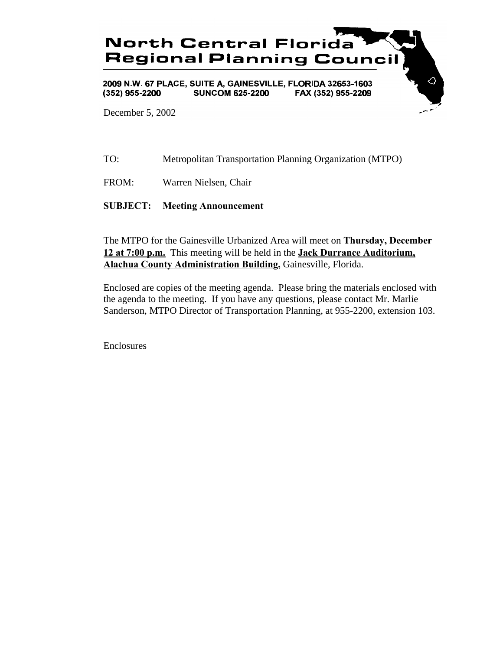

December 5, 2002

TO: Metropolitan Transportation Planning Organization (MTPO)

FROM: Warren Nielsen, Chair

**SUBJECT: Meeting Announcement**

The MTPO for the Gainesville Urbanized Area will meet on **Thursday, December 12 at 7:00 p.m.** This meeting will be held in the **Jack Durrance Auditorium, Alachua County Administration Building,** Gainesville, Florida.

Enclosed are copies of the meeting agenda. Please bring the materials enclosed with the agenda to the meeting. If you have any questions, please contact Mr. Marlie Sanderson, MTPO Director of Transportation Planning, at 955-2200, extension 103.

Enclosures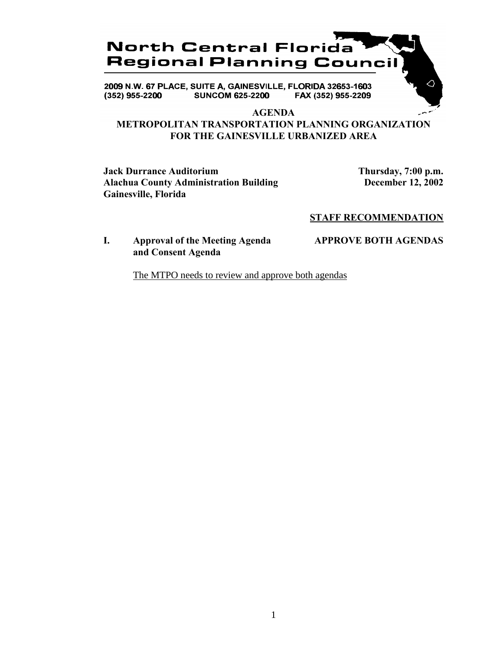

2009 N.W. 67 PLACE, SUITE A, GAINESVILLE, FLORIDA 32653-1603 **SUNCOM 625-2200** FAX (352) 955-2209  $(352)$  955-2200

**AGENDA**

# **METROPOLITAN TRANSPORTATION PLANNING ORGANIZATION FOR THE GAINESVILLE URBANIZED AREA**

**Jack Durrance Auditorium Thursday, 7:00 p.m. Alachua County Administration Building December 12, 2002 Gainesville, Florida**

△

# **STAFF RECOMMENDATION**

# **I. Approval of the Meeting Agenda APPROVE BOTH AGENDAS and Consent Agenda**

The MTPO needs to review and approve both agendas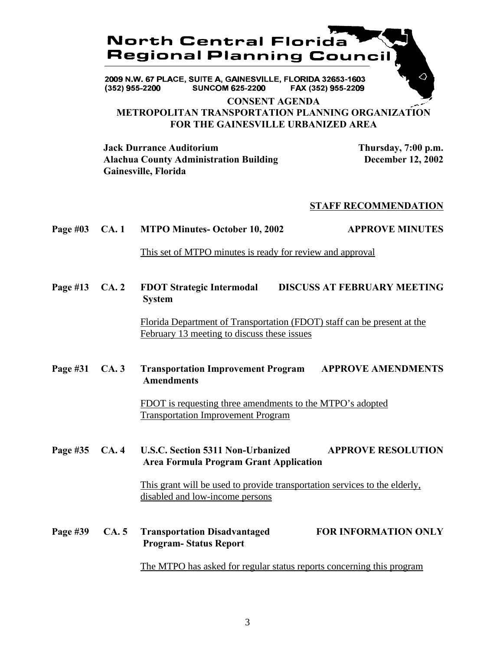

2009 N.W. 67 PLACE, SUITE A, GAINESVILLE, FLORIDA 32653-1603 **SUNCOM 625-2200**  $(352)$  955-2200 FAX (352) 955-2209

**CONSENT AGENDA METROPOLITAN TRANSPORTATION PLANNING ORGANIZATION FOR THE GAINESVILLE URBANIZED AREA**

**Jack Durrance Auditorium Thursday, 7:00 p.m. Alachua County Administration Building December 12, 2002 Gainesville, Florida**

#### **STAFF RECOMMENDATION**

#### **Page #03 CA. 1 MTPO Minutes- October 10, 2002 APPROVE MINUTES**

This set of MTPO minutes is ready for review and approval

**Page #13 CA. 2 FDOT Strategic Intermodal DISCUSS AT FEBRUARY MEETING System**

> Florida Department of Transportation (FDOT) staff can be present at the February 13 meeting to discuss these issues

# **Page #31 CA. 3 Transportation Improvement Program APPROVE AMENDMENTS Amendments**

FDOT is requesting three amendments to the MTPO's adopted Transportation Improvement Program

**Page #35 CA. 4 U.S.C. Section 5311 Non-Urbanized APPROVE RESOLUTION Area Formula Program Grant Application**

> This grant will be used to provide transportation services to the elderly, disabled and low-income persons

**Page #39 CA. 5 Transportation Disadvantaged FOR INFORMATION ONLY Program- Status Report**

The MTPO has asked for regular status reports concerning this program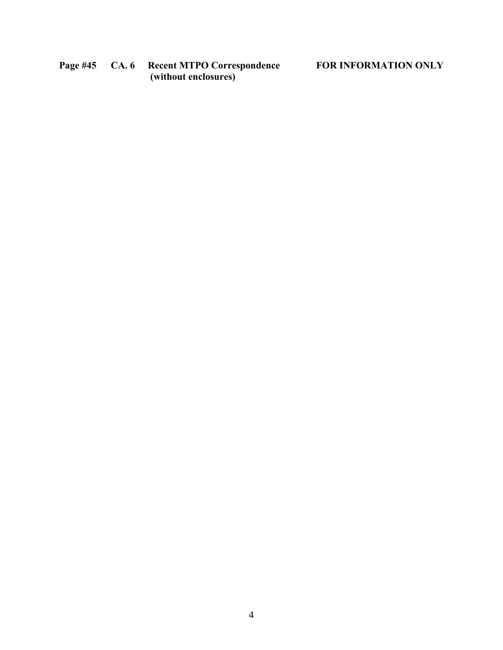**Page #45 CA. 6 Recent MTPO Correspondence FOR INFORMATION ONLY (without enclosures)**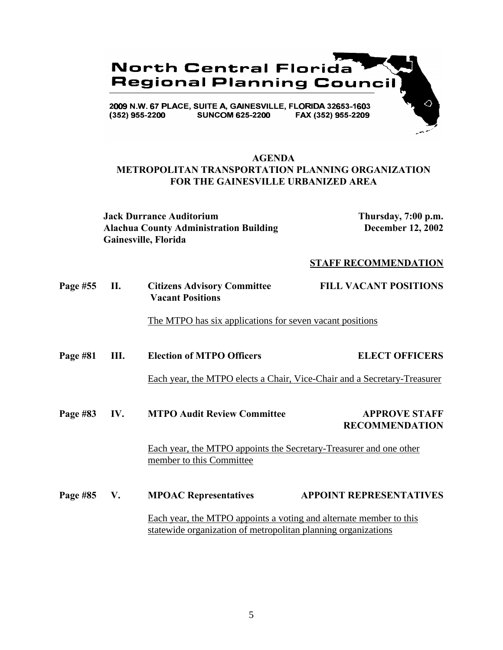

### **AGENDA METROPOLITAN TRANSPORTATION PLANNING ORGANIZATION FOR THE GAINESVILLE URBANIZED AREA**

**Jack Durrance Auditorium Thursday, 7:00 p.m. Alachua County Administration Building December 12, 2002 Gainesville, Florida**

#### **STAFF RECOMMENDATION**

| <b>Page #55</b> | <b>Citizens Advisory Committee</b> | <b>FILL VACANT POSITIONS</b> |
|-----------------|------------------------------------|------------------------------|
|                 | <b>Vacant Positions</b>            |                              |

The MTPO has six applications for seven vacant positions

**Page #81 III. Election of MTPO Officers ELECT OFFICERS**

Each year, the MTPO elects a Chair, Vice-Chair and a Secretary-Treasurer

**Page #83 IV. MTPO Audit Review Committee APPROVE STAFF RECOMMENDATION**

> Each year, the MTPO appoints the Secretary-Treasurer and one other member to this Committee

**Page #85 V. MPOAC Representatives APPOINT REPRESENTATIVES** Each year, the MTPO appoints a voting and alternate member to this statewide organization of metropolitan planning organizations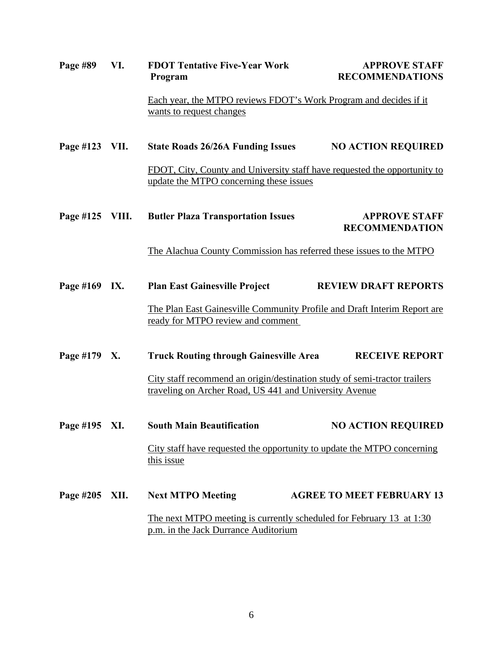| Page #89        | VI.                                                                                                          | <b>FDOT Tentative Five-Year Work</b><br>Program                                                               | <b>APPROVE STAFF</b><br><b>RECOMMENDATIONS</b>                                                                                      |  |
|-----------------|--------------------------------------------------------------------------------------------------------------|---------------------------------------------------------------------------------------------------------------|-------------------------------------------------------------------------------------------------------------------------------------|--|
|                 |                                                                                                              | Each year, the MTPO reviews FDOT's Work Program and decides if it<br>wants to request changes                 |                                                                                                                                     |  |
| Page #123 VII.  |                                                                                                              | <b>State Roads 26/26A Funding Issues</b>                                                                      | <b>NO ACTION REQUIRED</b>                                                                                                           |  |
|                 |                                                                                                              | update the MTPO concerning these issues                                                                       | FDOT, City, County and University staff have requested the opportunity to                                                           |  |
| Page #125 VIII. |                                                                                                              | <b>Butler Plaza Transportation Issues</b>                                                                     | <b>APPROVE STAFF</b><br><b>RECOMMENDATION</b>                                                                                       |  |
|                 |                                                                                                              | The Alachua County Commission has referred these issues to the MTPO                                           |                                                                                                                                     |  |
| Page #169 IX.   |                                                                                                              | <b>Plan East Gainesville Project</b>                                                                          | <b>REVIEW DRAFT REPORTS</b>                                                                                                         |  |
|                 |                                                                                                              | The Plan East Gainesville Community Profile and Draft Interim Report are<br>ready for MTPO review and comment |                                                                                                                                     |  |
| Page #179 X.    |                                                                                                              | <b>Truck Routing through Gainesville Area</b>                                                                 | <b>RECEIVE REPORT</b>                                                                                                               |  |
|                 |                                                                                                              |                                                                                                               | City staff recommend an origin/destination study of semi-tractor trailers<br>traveling on Archer Road, US 441 and University Avenue |  |
| Page #195 XI.   |                                                                                                              | <b>South Main Beautification</b>                                                                              | <b>NO ACTION REQUIRED</b>                                                                                                           |  |
|                 |                                                                                                              | this issue                                                                                                    | City staff have requested the opportunity to update the MTPO concerning                                                             |  |
| Page #205 XII.  |                                                                                                              | <b>Next MTPO Meeting</b>                                                                                      | <b>AGREE TO MEET FEBRUARY 13</b>                                                                                                    |  |
|                 | The next MTPO meeting is currently scheduled for February 13 at 1:30<br>p.m. in the Jack Durrance Auditorium |                                                                                                               |                                                                                                                                     |  |